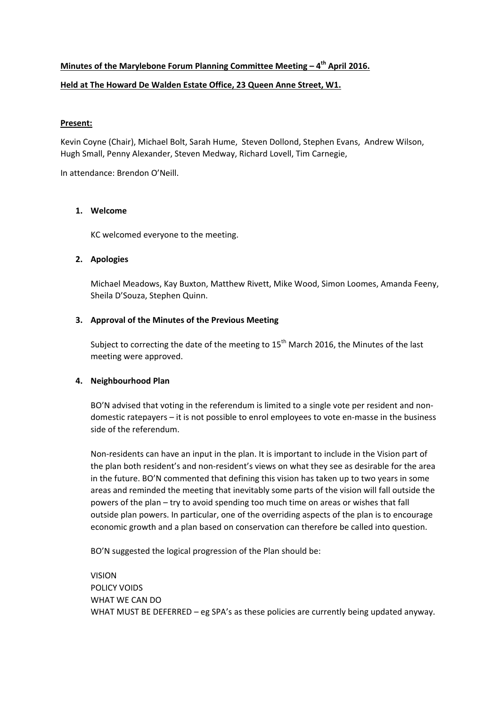# **Minutes of the Marylebone Forum Planning Committee Meeting – 4th April 2016. Held at The Howard De Walden Estate Office, 23 Queen Anne Street, W1.**

# **Present:**

Kevin Coyne (Chair), Michael Bolt, Sarah Hume, Steven Dollond, Stephen Evans, Andrew Wilson, Hugh Small, Penny Alexander, Steven Medway, Richard Lovell, Tim Carnegie,

In attendance: Brendon O'Neill.

## **1. Welcome**

KC welcomed everyone to the meeting.

## **2. Apologies**

Michael Meadows, Kay Buxton, Matthew Rivett, Mike Wood, Simon Loomes, Amanda Feeny, Sheila D'Souza, Stephen Quinn.

## **3. Approval of the Minutes of the Previous Meeting**

Subject to correcting the date of the meeting to  $15<sup>th</sup>$  March 2016, the Minutes of the last meeting were approved.

## **4. Neighbourhood Plan**

BO'N advised that voting in the referendum is limited to a single vote per resident and nondomestic ratepayers – it is not possible to enrol employees to vote en-masse in the business side of the referendum.

Non‐residents can have an input in the plan. It is important to include in the Vision part of the plan both resident's and non-resident's views on what they see as desirable for the area in the future. BO'N commented that defining this vision has taken up to two years in some areas and reminded the meeting that inevitably some parts of the vision will fall outside the powers of the plan – try to avoid spending too much time on areas or wishes that fall outside plan powers. In particular, one of the overriding aspects of the plan is to encourage economic growth and a plan based on conservation can therefore be called into question.

BO'N suggested the logical progression of the Plan should be:

VISION POLICY VOIDS WHAT WE CAN DO WHAT MUST BE DEFERRED – eg SPA's as these policies are currently being updated anyway.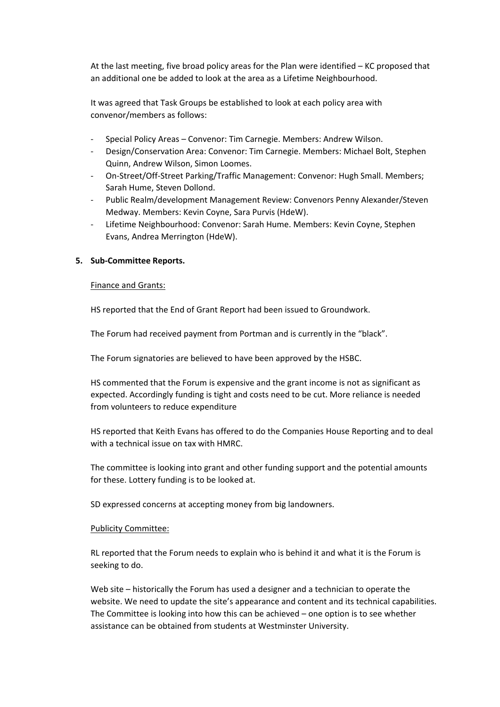At the last meeting, five broad policy areas for the Plan were identified – KC proposed that an additional one be added to look at the area as a Lifetime Neighbourhood.

It was agreed that Task Groups be established to look at each policy area with convenor/members as follows:

- ‐ Special Policy Areas Convenor: Tim Carnegie. Members: Andrew Wilson.
- ‐ Design/Conservation Area: Convenor: Tim Carnegie. Members: Michael Bolt, Stephen Quinn, Andrew Wilson, Simon Loomes.
- ‐ On‐Street/Off‐Street Parking/Traffic Management: Convenor: Hugh Small. Members; Sarah Hume, Steven Dollond.
- ‐ Public Realm/development Management Review: Convenors Penny Alexander/Steven Medway. Members: Kevin Coyne, Sara Purvis (HdeW).
- ‐ Lifetime Neighbourhood: Convenor: Sarah Hume. Members: Kevin Coyne, Stephen Evans, Andrea Merrington (HdeW).

#### **5. Sub‐Committee Reports.**

#### Finance and Grants:

HS reported that the End of Grant Report had been issued to Groundwork.

The Forum had received payment from Portman and is currently in the "black".

The Forum signatories are believed to have been approved by the HSBC.

HS commented that the Forum is expensive and the grant income is not as significant as expected. Accordingly funding is tight and costs need to be cut. More reliance is needed from volunteers to reduce expenditure

HS reported that Keith Evans has offered to do the Companies House Reporting and to deal with a technical issue on tax with HMRC.

The committee is looking into grant and other funding support and the potential amounts for these. Lottery funding is to be looked at.

SD expressed concerns at accepting money from big landowners.

#### Publicity Committee:

RL reported that the Forum needs to explain who is behind it and what it is the Forum is seeking to do.

Web site – historically the Forum has used a designer and a technician to operate the website. We need to update the site's appearance and content and its technical capabilities. The Committee is looking into how this can be achieved – one option is to see whether assistance can be obtained from students at Westminster University.